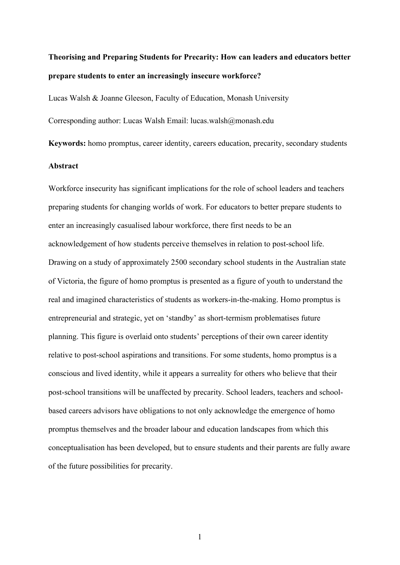# **Theorising and Preparing Students for Precarity: How can leaders and educators better prepare students to enter an increasingly insecure workforce?**

Lucas Walsh & Joanne Gleeson, Faculty of Education, Monash University

Corresponding author: Lucas Walsh Email: lucas.walsh@monash.edu

**Keywords:** homo promptus, career identity, careers education, precarity, secondary students

## **Abstract**

Workforce insecurity has significant implications for the role of school leaders and teachers preparing students for changing worlds of work. For educators to better prepare students to enter an increasingly casualised labour workforce, there first needs to be an acknowledgement of how students perceive themselves in relation to post-school life. Drawing on a study of approximately 2500 secondary school students in the Australian state of Victoria, the figure of homo promptus is presented as a figure of youth to understand the real and imagined characteristics of students as workers-in-the-making. Homo promptus is entrepreneurial and strategic, yet on 'standby' as short-termism problematises future planning. This figure is overlaid onto students' perceptions of their own career identity relative to post-school aspirations and transitions. For some students, homo promptus is a conscious and lived identity, while it appears a surreality for others who believe that their post-school transitions will be unaffected by precarity. School leaders, teachers and schoolbased careers advisors have obligations to not only acknowledge the emergence of homo promptus themselves and the broader labour and education landscapes from which this conceptualisation has been developed, but to ensure students and their parents are fully aware of the future possibilities for precarity.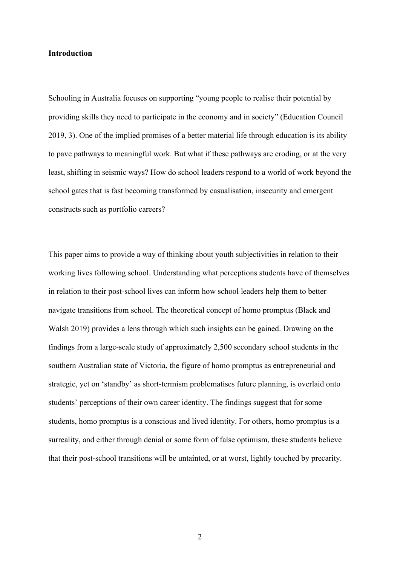## **Introduction**

Schooling in Australia focuses on supporting "young people to realise their potential by providing skills they need to participate in the economy and in society" (Education Council 2019, 3). One of the implied promises of a better material life through education is its ability to pave pathways to meaningful work. But what if these pathways are eroding, or at the very least, shifting in seismic ways? How do school leaders respond to a world of work beyond the school gates that is fast becoming transformed by casualisation, insecurity and emergent constructs such as portfolio careers?

This paper aims to provide a way of thinking about youth subjectivities in relation to their working lives following school. Understanding what perceptions students have of themselves in relation to their post-school lives can inform how school leaders help them to better navigate transitions from school. The theoretical concept of homo promptus (Black and Walsh 2019) provides a lens through which such insights can be gained. Drawing on the findings from a large-scale study of approximately 2,500 secondary school students in the southern Australian state of Victoria, the figure of homo promptus as entrepreneurial and strategic, yet on 'standby' as short-termism problematises future planning, is overlaid onto students' perceptions of their own career identity. The findings suggest that for some students, homo promptus is a conscious and lived identity. For others, homo promptus is a surreality, and either through denial or some form of false optimism, these students believe that their post-school transitions will be untainted, or at worst, lightly touched by precarity.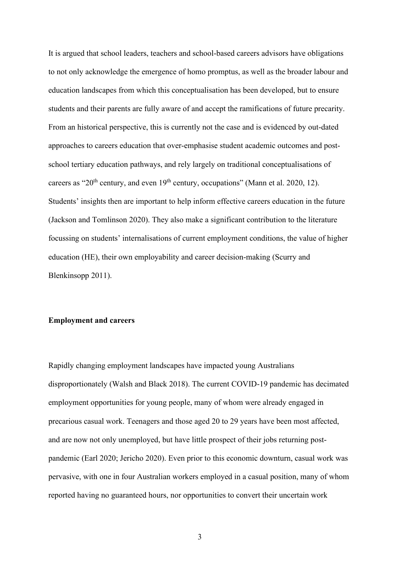It is argued that school leaders, teachers and school-based careers advisors have obligations to not only acknowledge the emergence of homo promptus, as well as the broader labour and education landscapes from which this conceptualisation has been developed, but to ensure students and their parents are fully aware of and accept the ramifications of future precarity. From an historical perspective, this is currently not the case and is evidenced by out-dated approaches to careers education that over-emphasise student academic outcomes and postschool tertiary education pathways, and rely largely on traditional conceptualisations of careers as "20<sup>th</sup> century, and even 19<sup>th</sup> century, occupations" (Mann et al. 2020, 12). Students' insights then are important to help inform effective careers education in the future (Jackson and Tomlinson 2020). They also make a significant contribution to the literature focussing on students' internalisations of current employment conditions, the value of higher education (HE), their own employability and career decision-making (Scurry and Blenkinsopp 2011).

## **Employment and careers**

Rapidly changing employment landscapes have impacted young Australians disproportionately (Walsh and Black 2018). The current COVID-19 pandemic has decimated employment opportunities for young people, many of whom were already engaged in precarious casual work. Teenagers and those aged 20 to 29 years have been most affected, and are now not only unemployed, but have little prospect of their jobs returning postpandemic (Earl 2020; Jericho 2020). Even prior to this economic downturn, casual work was pervasive, with one in four Australian workers employed in a casual position, many of whom reported having no guaranteed hours, nor opportunities to convert their uncertain work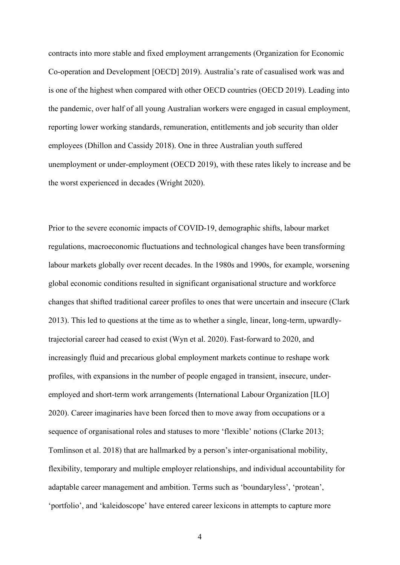contracts into more stable and fixed employment arrangements (Organization for Economic Co-operation and Development [OECD] 2019). Australia's rate of casualised work was and is one of the highest when compared with other OECD countries (OECD 2019). Leading into the pandemic, over half of all young Australian workers were engaged in casual employment, reporting lower working standards, remuneration, entitlements and job security than older employees (Dhillon and Cassidy 2018). One in three Australian youth suffered unemployment or under-employment (OECD 2019), with these rates likely to increase and be the worst experienced in decades (Wright 2020).

Prior to the severe economic impacts of COVID-19, demographic shifts, labour market regulations, macroeconomic fluctuations and technological changes have been transforming labour markets globally over recent decades. In the 1980s and 1990s, for example, worsening global economic conditions resulted in significant organisational structure and workforce changes that shifted traditional career profiles to ones that were uncertain and insecure (Clark 2013). This led to questions at the time as to whether a single, linear, long-term, upwardlytrajectorial career had ceased to exist (Wyn et al. 2020). Fast-forward to 2020, and increasingly fluid and precarious global employment markets continue to reshape work profiles, with expansions in the number of people engaged in transient, insecure, underemployed and short-term work arrangements (International Labour Organization [ILO] 2020). Career imaginaries have been forced then to move away from occupations or a sequence of organisational roles and statuses to more 'flexible' notions (Clarke 2013; Tomlinson et al. 2018) that are hallmarked by a person's inter-organisational mobility, flexibility, temporary and multiple employer relationships, and individual accountability for adaptable career management and ambition. Terms such as 'boundaryless', 'protean', 'portfolio', and 'kaleidoscope' have entered career lexicons in attempts to capture more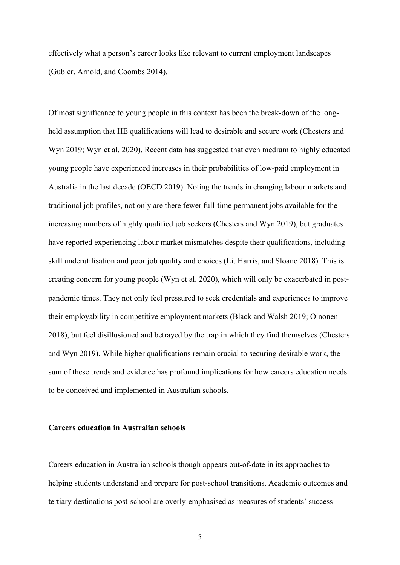effectively what a person's career looks like relevant to current employment landscapes (Gubler, Arnold, and Coombs 2014).

Of most significance to young people in this context has been the break-down of the longheld assumption that HE qualifications will lead to desirable and secure work (Chesters and Wyn 2019; Wyn et al. 2020). Recent data has suggested that even medium to highly educated young people have experienced increases in their probabilities of low-paid employment in Australia in the last decade (OECD 2019). Noting the trends in changing labour markets and traditional job profiles, not only are there fewer full-time permanent jobs available for the increasing numbers of highly qualified job seekers (Chesters and Wyn 2019), but graduates have reported experiencing labour market mismatches despite their qualifications, including skill underutilisation and poor job quality and choices (Li, Harris, and Sloane 2018). This is creating concern for young people (Wyn et al. 2020), which will only be exacerbated in postpandemic times. They not only feel pressured to seek credentials and experiences to improve their employability in competitive employment markets (Black and Walsh 2019; Oinonen 2018), but feel disillusioned and betrayed by the trap in which they find themselves (Chesters and Wyn 2019). While higher qualifications remain crucial to securing desirable work, the sum of these trends and evidence has profound implications for how careers education needs to be conceived and implemented in Australian schools.

#### **Careers education in Australian schools**

Careers education in Australian schools though appears out-of-date in its approaches to helping students understand and prepare for post-school transitions. Academic outcomes and tertiary destinations post-school are overly-emphasised as measures of students' success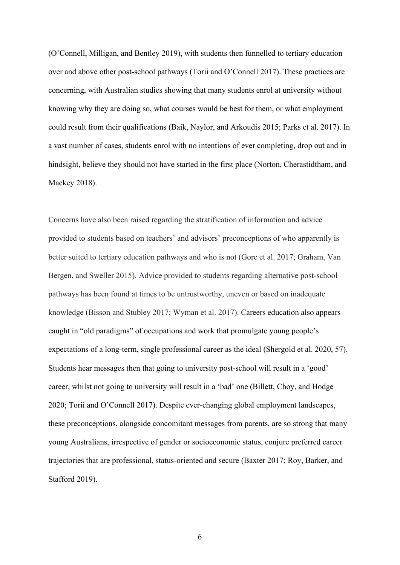(O'Connell, Milligan, and Bentley 2019), with students then funnelled to tertiary education over and above other post-school pathways (Torii and O'Connell 2017). These practices are concerning, with Australian studies showing that many students enrol at university without knowing why they are doing so, what courses would be best for them, or what employment could result from their qualifications (Baik, Naylor, and Arkoudis 2015; Parks et al. 2017). In a vast number of cases, students enrol with no intentions of ever completing, drop out and in hindsight, believe they should not have started in the first place (Norton, Cherastidtham, and Mackey 2018).

Concerns have also been raised regarding the stratification of information and advice provided to students based on teachers' and advisors' preconceptions of who apparently is better suited to tertiary education pathways and who is not (Gore et al. 2017; Graham, Van Bergen, and Sweller 2015). Advice provided to students regarding alternative post-school pathways has been found at times to be untrustworthy, uneven or based on inadequate knowledge (Bisson and Stubley 2017; Wyman et al. 2017). Careers education also appears caught in "old paradigms" of occupations and work that promulgate young people's expectations of a long-term, single professional career as the ideal (Shergold et al. 2020, 57). Students hear messages then that going to university post-school will result in a 'good' career, whilst not going to university will result in a 'bad' one (Billett, Choy, and Hodge 2020; Torii and O'Connell 2017). Despite ever-changing global employment landscapes, these preconceptions, alongside concomitant messages from parents, are so strong that many young Australians, irrespective of gender or socioeconomic status, conjure preferred career trajectories that are professional, status-oriented and secure (Baxter 2017; Roy, Barker, and Stafford 2019).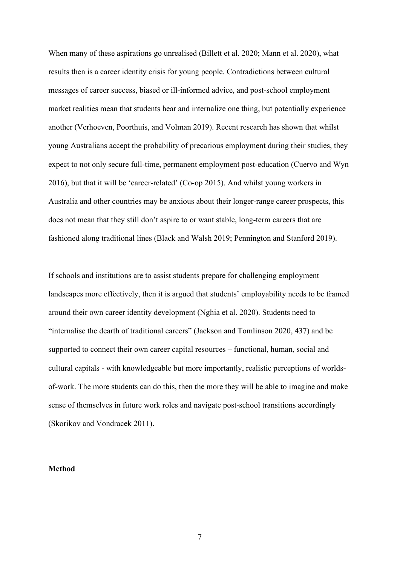When many of these aspirations go unrealised (Billett et al. 2020; Mann et al. 2020), what results then is a career identity crisis for young people. Contradictions between cultural messages of career success, biased or ill-informed advice, and post-school employment market realities mean that students hear and internalize one thing, but potentially experience another (Verhoeven, Poorthuis, and Volman 2019). Recent research has shown that whilst young Australians accept the probability of precarious employment during their studies, they expect to not only secure full-time, permanent employment post-education (Cuervo and Wyn 2016), but that it will be 'career-related' (Co-op 2015). And whilst young workers in Australia and other countries may be anxious about their longer-range career prospects, this does not mean that they still don't aspire to or want stable, long-term careers that are fashioned along traditional lines (Black and Walsh 2019; Pennington and Stanford 2019).

If schools and institutions are to assist students prepare for challenging employment landscapes more effectively, then it is argued that students' employability needs to be framed around their own career identity development (Nghia et al. 2020). Students need to "internalise the dearth of traditional careers" (Jackson and Tomlinson 2020, 437) and be supported to connect their own career capital resources – functional, human, social and cultural capitals - with knowledgeable but more importantly, realistic perceptions of worldsof-work. The more students can do this, then the more they will be able to imagine and make sense of themselves in future work roles and navigate post-school transitions accordingly (Skorikov and Vondracek 2011).

## **Method**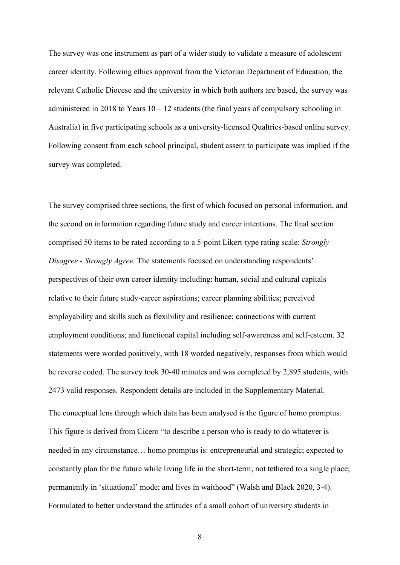The survey was one instrument as part of a wider study to validate a measure of adolescent career identity. Following ethics approval from the Victorian Department of Education, the relevant Catholic Diocese and the university in which both authors are based, the survey was administered in 2018 to Years  $10 - 12$  students (the final years of compulsory schooling in Australia) in five participating schools as a university-licensed Qualtrics-based online survey. Following consent from each school principal, student assent to participate was implied if the survey was completed.

The survey comprised three sections, the first of which focused on personal information, and the second on information regarding future study and career intentions. The final section comprised 50 items to be rated according to a 5-point Likert-type rating scale: *Strongly Disagree - Strongly Agree.* The statements focused on understanding respondents' perspectives of their own career identity including: human, social and cultural capitals relative to their future study-career aspirations; career planning abilities; perceived employability and skills such as flexibility and resilience; connections with current employment conditions; and functional capital including self-awareness and self-esteem. 32 statements were worded positively, with 18 worded negatively, responses from which would be reverse coded. The survey took 30-40 minutes and was completed by 2,895 students, with 2473 valid responses. Respondent details are included in the Supplementary Material. The conceptual lens through which data has been analysed is the figure of homo promptus. This figure is derived from Cicero "to describe a person who is ready to do whatever is needed in any circumstance… homo promptus is: entrepreneurial and strategic; expected to constantly plan for the future while living life in the short-term; not tethered to a single place; permanently in 'situational' mode; and lives in waithood" (Walsh and Black 2020, 3-4). Formulated to better understand the attitudes of a small cohort of university students in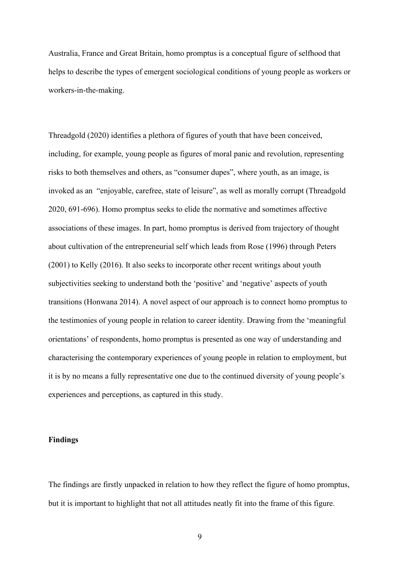Australia, France and Great Britain, homo promptus is a conceptual figure of selfhood that helps to describe the types of emergent sociological conditions of young people as workers or workers-in-the-making.

Threadgold (2020) identifies a plethora of figures of youth that have been conceived, including, for example, young people as figures of moral panic and revolution, representing risks to both themselves and others, as "consumer dupes", where youth, as an image, is invoked as an "enjoyable, carefree, state of leisure", as well as morally corrupt (Threadgold 2020, 691-696). Homo promptus seeks to elide the normative and sometimes affective associations of these images. In part, homo promptus is derived from trajectory of thought about cultivation of the entrepreneurial self which leads from Rose (1996) through Peters (2001) to Kelly (2016). It also seeks to incorporate other recent writings about youth subjectivities seeking to understand both the 'positive' and 'negative' aspects of youth transitions (Honwana 2014). A novel aspect of our approach is to connect homo promptus to the testimonies of young people in relation to career identity. Drawing from the 'meaningful orientations' of respondents, homo promptus is presented as one way of understanding and characterising the contemporary experiences of young people in relation to employment, but it is by no means a fully representative one due to the continued diversity of young people's experiences and perceptions, as captured in this study.

## **Findings**

The findings are firstly unpacked in relation to how they reflect the figure of homo promptus, but it is important to highlight that not all attitudes neatly fit into the frame of this figure.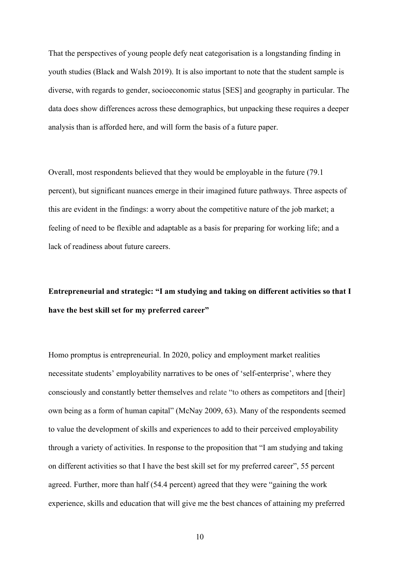That the perspectives of young people defy neat categorisation is a longstanding finding in youth studies (Black and Walsh 2019). It is also important to note that the student sample is diverse, with regards to gender, socioeconomic status [SES] and geography in particular. The data does show differences across these demographics, but unpacking these requires a deeper analysis than is afforded here, and will form the basis of a future paper.

Overall, most respondents believed that they would be employable in the future (79.1 percent), but significant nuances emerge in their imagined future pathways. Three aspects of this are evident in the findings: a worry about the competitive nature of the job market; a feeling of need to be flexible and adaptable as a basis for preparing for working life; and a lack of readiness about future careers.

**Entrepreneurial and strategic: "I am studying and taking on different activities so that I have the best skill set for my preferred career"**

Homo promptus is entrepreneurial. In 2020, policy and employment market realities necessitate students' employability narratives to be ones of 'self-enterprise', where they consciously and constantly better themselves and relate "to others as competitors and [their] own being as a form of human capital" (McNay 2009, 63). Many of the respondents seemed to value the development of skills and experiences to add to their perceived employability through a variety of activities. In response to the proposition that "I am studying and taking on different activities so that I have the best skill set for my preferred career", 55 percent agreed. Further, more than half (54.4 percent) agreed that they were "gaining the work experience, skills and education that will give me the best chances of attaining my preferred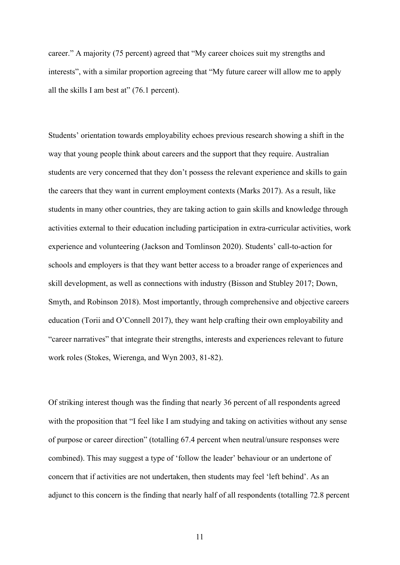career." A majority (75 percent) agreed that "My career choices suit my strengths and interests", with a similar proportion agreeing that "My future career will allow me to apply all the skills I am best at" (76.1 percent).

Students' orientation towards employability echoes previous research showing a shift in the way that young people think about careers and the support that they require. Australian students are very concerned that they don't possess the relevant experience and skills to gain the careers that they want in current employment contexts (Marks 2017). As a result, like students in many other countries, they are taking action to gain skills and knowledge through activities external to their education including participation in extra-curricular activities, work experience and volunteering (Jackson and Tomlinson 2020). Students' call-to-action for schools and employers is that they want better access to a broader range of experiences and skill development, as well as connections with industry (Bisson and Stubley 2017; Down, Smyth, and Robinson 2018). Most importantly, through comprehensive and objective careers education (Torii and O'Connell 2017), they want help crafting their own employability and "career narratives" that integrate their strengths, interests and experiences relevant to future work roles (Stokes, Wierenga, and Wyn 2003, 81-82).

Of striking interest though was the finding that nearly 36 percent of all respondents agreed with the proposition that "I feel like I am studying and taking on activities without any sense of purpose or career direction" (totalling 67.4 percent when neutral/unsure responses were combined). This may suggest a type of 'follow the leader' behaviour or an undertone of concern that if activities are not undertaken, then students may feel 'left behind'. As an adjunct to this concern is the finding that nearly half of all respondents (totalling 72.8 percent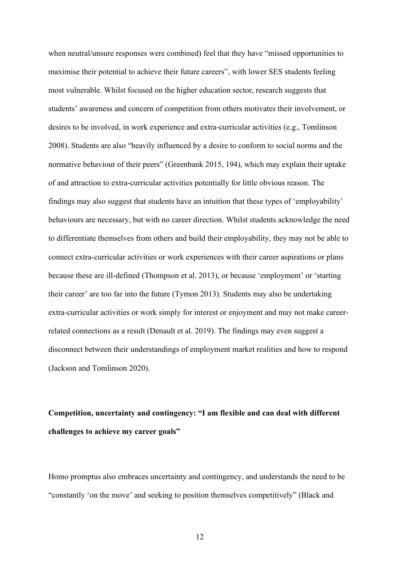when neutral/unsure responses were combined) feel that they have "missed opportunities to maximise their potential to achieve their future careers", with lower SES students feeling most vulnerable. Whilst focused on the higher education sector, research suggests that students' awareness and concern of competition from others motivates their involvement, or desires to be involved, in work experience and extra-curricular activities (e.g., Tomlinson 2008). Students are also "heavily influenced by a desire to conform to social norms and the normative behaviour of their peers" (Greenbank 2015, 194), which may explain their uptake of and attraction to extra-curricular activities potentially for little obvious reason. The findings may also suggest that students have an intuition that these types of 'employability' behaviours are necessary, but with no career direction. Whilst students acknowledge the need to differentiate themselves from others and build their employability, they may not be able to connect extra-curricular activities or work experiences with their career aspirations or plans because these are ill-defined (Thompson et al. 2013), or because 'employment' or 'starting their career' are too far into the future (Tymon 2013). Students may also be undertaking extra-curricular activities or work simply for interest or enjoyment and may not make careerrelated connections as a result (Denault et al. 2019). The findings may even suggest a disconnect between their understandings of employment market realities and how to respond (Jackson and Tomlinson 2020).

## **Competition, uncertainty and contingency: "I am flexible and can deal with different challenges to achieve my career goals"**

Homo promptus also embraces uncertainty and contingency, and understands the need to be "constantly 'on the move' and seeking to position themselves competitively" (Black and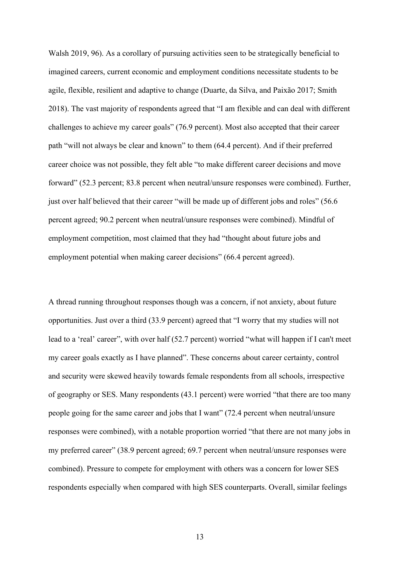Walsh 2019, 96). As a corollary of pursuing activities seen to be strategically beneficial to imagined careers, current economic and employment conditions necessitate students to be agile, flexible, resilient and adaptive to change (Duarte, da Silva, and Paixão 2017; Smith 2018). The vast majority of respondents agreed that "I am flexible and can deal with different challenges to achieve my career goals" (76.9 percent). Most also accepted that their career path "will not always be clear and known" to them (64.4 percent). And if their preferred career choice was not possible, they felt able "to make different career decisions and move forward" (52.3 percent; 83.8 percent when neutral/unsure responses were combined). Further, just over half believed that their career "will be made up of different jobs and roles" (56.6) percent agreed; 90.2 percent when neutral/unsure responses were combined). Mindful of employment competition, most claimed that they had "thought about future jobs and employment potential when making career decisions" (66.4 percent agreed).

A thread running throughout responses though was a concern, if not anxiety, about future opportunities. Just over a third (33.9 percent) agreed that "I worry that my studies will not lead to a 'real' career", with over half (52.7 percent) worried "what will happen if I can't meet my career goals exactly as I have planned". These concerns about career certainty, control and security were skewed heavily towards female respondents from all schools, irrespective of geography or SES. Many respondents (43.1 percent) were worried "that there are too many people going for the same career and jobs that I want" (72.4 percent when neutral/unsure responses were combined), with a notable proportion worried "that there are not many jobs in my preferred career" (38.9 percent agreed; 69.7 percent when neutral/unsure responses were combined). Pressure to compete for employment with others was a concern for lower SES respondents especially when compared with high SES counterparts. Overall, similar feelings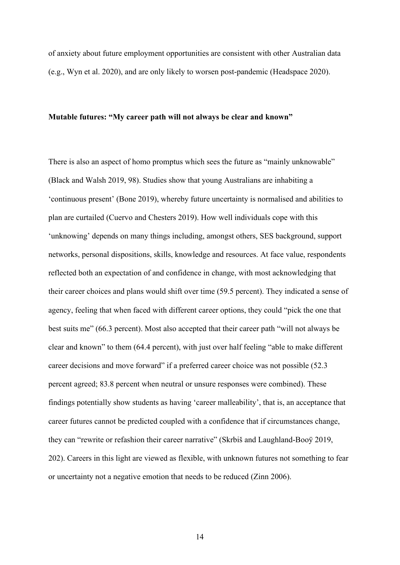of anxiety about future employment opportunities are consistent with other Australian data (e.g., Wyn et al. 2020), and are only likely to worsen post-pandemic (Headspace 2020).

#### **Mutable futures: "My career path will not always be clear and known"**

There is also an aspect of homo promptus which sees the future as "mainly unknowable" (Black and Walsh 2019, 98). Studies show that young Australians are inhabiting a 'continuous present' (Bone 2019), whereby future uncertainty is normalised and abilities to plan are curtailed (Cuervo and Chesters 2019). How well individuals cope with this 'unknowing' depends on many things including, amongst others, SES background, support networks, personal dispositions, skills, knowledge and resources. At face value, respondents reflected both an expectation of and confidence in change, with most acknowledging that their career choices and plans would shift over time (59.5 percent). They indicated a sense of agency, feeling that when faced with different career options, they could "pick the one that best suits me" (66.3 percent). Most also accepted that their career path "will not always be clear and known" to them (64.4 percent), with just over half feeling "able to make different career decisions and move forward" if a preferred career choice was not possible (52.3 percent agreed; 83.8 percent when neutral or unsure responses were combined). These findings potentially show students as having 'career malleability', that is, an acceptance that career futures cannot be predicted coupled with a confidence that if circumstances change, they can "rewrite or refashion their career narrative" (Skrbiš and Laughland-Booÿ 2019, 202). Careers in this light are viewed as flexible, with unknown futures not something to fear or uncertainty not a negative emotion that needs to be reduced (Zinn 2006).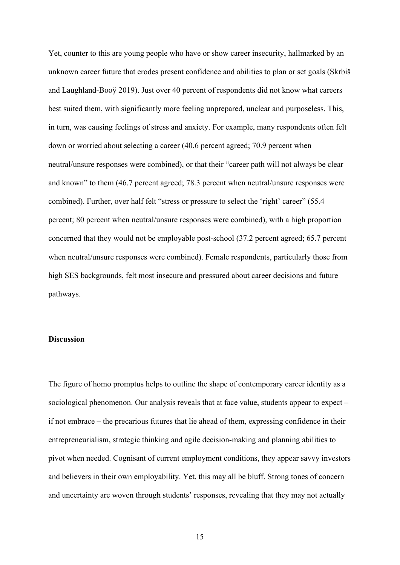Yet, counter to this are young people who have or show career insecurity, hallmarked by an unknown career future that erodes present confidence and abilities to plan or set goals (Skrbiš and Laughland-Booÿ 2019). Just over 40 percent of respondents did not know what careers best suited them, with significantly more feeling unprepared, unclear and purposeless. This, in turn, was causing feelings of stress and anxiety. For example, many respondents often felt down or worried about selecting a career (40.6 percent agreed; 70.9 percent when neutral/unsure responses were combined), or that their "career path will not always be clear and known" to them (46.7 percent agreed; 78.3 percent when neutral/unsure responses were combined). Further, over half felt "stress or pressure to select the 'right' career" (55.4 percent; 80 percent when neutral/unsure responses were combined), with a high proportion concerned that they would not be employable post-school (37.2 percent agreed; 65.7 percent when neutral/unsure responses were combined). Female respondents, particularly those from high SES backgrounds, felt most insecure and pressured about career decisions and future pathways.

## **Discussion**

The figure of homo promptus helps to outline the shape of contemporary career identity as a sociological phenomenon. Our analysis reveals that at face value, students appear to expect – if not embrace – the precarious futures that lie ahead of them, expressing confidence in their entrepreneurialism, strategic thinking and agile decision-making and planning abilities to pivot when needed. Cognisant of current employment conditions, they appear savvy investors and believers in their own employability. Yet, this may all be bluff. Strong tones of concern and uncertainty are woven through students' responses, revealing that they may not actually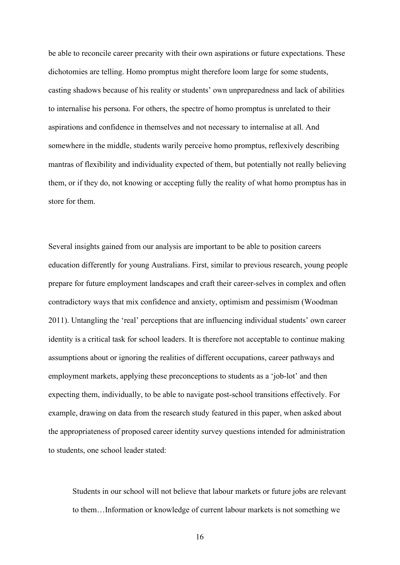be able to reconcile career precarity with their own aspirations or future expectations. These dichotomies are telling. Homo promptus might therefore loom large for some students, casting shadows because of his reality or students' own unpreparedness and lack of abilities to internalise his persona. For others, the spectre of homo promptus is unrelated to their aspirations and confidence in themselves and not necessary to internalise at all. And somewhere in the middle, students warily perceive homo promptus, reflexively describing mantras of flexibility and individuality expected of them, but potentially not really believing them, or if they do, not knowing or accepting fully the reality of what homo promptus has in store for them.

Several insights gained from our analysis are important to be able to position careers education differently for young Australians. First, similar to previous research, young people prepare for future employment landscapes and craft their career-selves in complex and often contradictory ways that mix confidence and anxiety, optimism and pessimism (Woodman 2011). Untangling the 'real' perceptions that are influencing individual students' own career identity is a critical task for school leaders. It is therefore not acceptable to continue making assumptions about or ignoring the realities of different occupations, career pathways and employment markets, applying these preconceptions to students as a 'job-lot' and then expecting them, individually, to be able to navigate post-school transitions effectively. For example, drawing on data from the research study featured in this paper, when asked about the appropriateness of proposed career identity survey questions intended for administration to students, one school leader stated:

Students in our school will not believe that labour markets or future jobs are relevant to them…Information or knowledge of current labour markets is not something we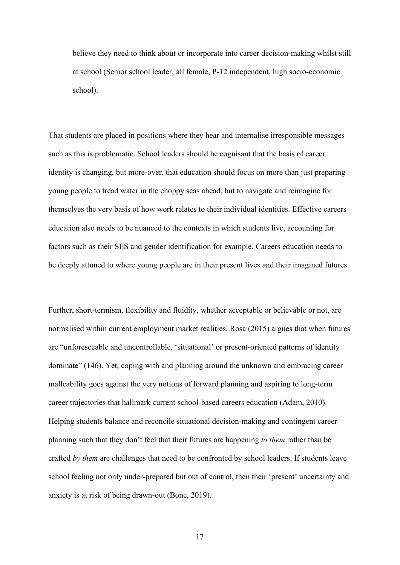believe they need to think about or incorporate into career decision-making whilst still at school (Senior school leader; all female, P-12 independent, high socio-economic school).

That students are placed in positions where they hear and internalise irresponsible messages such as this is problematic. School leaders should be cognisant that the basis of career identity is changing, but more-over, that education should focus on more than just preparing young people to tread water in the choppy seas ahead, but to navigate and reimagine for themselves the very basis of how work relates to their individual identities. Effective careers education also needs to be nuanced to the contexts in which students live, accounting for factors such as their SES and gender identification for example. Careers education needs to be deeply attuned to where young people are in their present lives and their imagined futures.

Further, short-termism, flexibility and fluidity, whether acceptable or believable or not, are normalised within current employment market realities. Rosa (2015) argues that when futures are "unforeseeable and uncontrollable, 'situational' or present-oriented patterns of identity dominate" (146). Yet, coping with and planning around the unknown and embracing career malleability goes against the very notions of forward planning and aspiring to long-term career trajectories that hallmark current school-based careers education (Adam, 2010). Helping students balance and reconcile situational decision-making and contingent career planning such that they don't feel that their futures are happening *to them* rather than be crafted *by them* are challenges that need to be confronted by school leaders. If students leave school feeling not only under-prepared but out of control, then their 'present' uncertainty and anxiety is at risk of being drawn-out (Bone, 2019).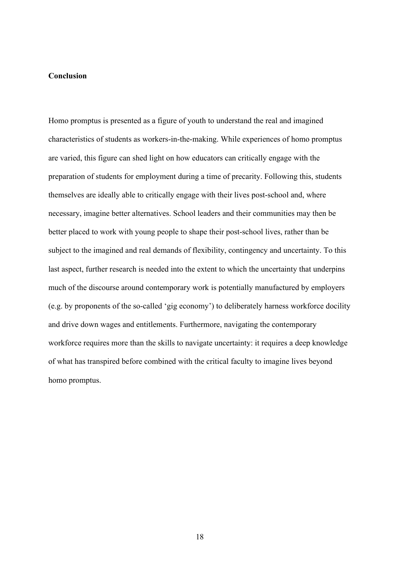## **Conclusion**

Homo promptus is presented as a figure of youth to understand the real and imagined characteristics of students as workers-in-the-making. While experiences of homo promptus are varied, this figure can shed light on how educators can critically engage with the preparation of students for employment during a time of precarity. Following this, students themselves are ideally able to critically engage with their lives post-school and, where necessary, imagine better alternatives. School leaders and their communities may then be better placed to work with young people to shape their post-school lives, rather than be subject to the imagined and real demands of flexibility, contingency and uncertainty. To this last aspect, further research is needed into the extent to which the uncertainty that underpins much of the discourse around contemporary work is potentially manufactured by employers (e.g. by proponents of the so-called 'gig economy') to deliberately harness workforce docility and drive down wages and entitlements. Furthermore, navigating the contemporary workforce requires more than the skills to navigate uncertainty: it requires a deep knowledge of what has transpired before combined with the critical faculty to imagine lives beyond homo promptus.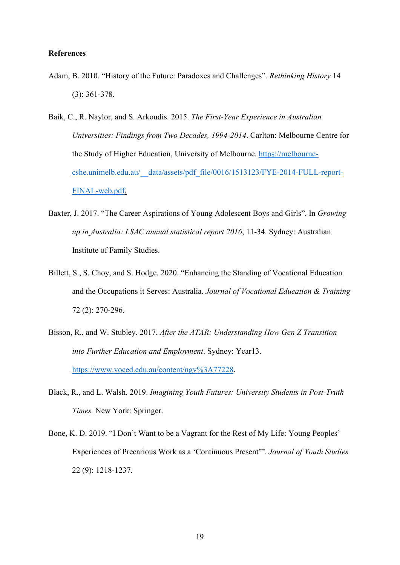## **References**

- Adam, B. 2010. "History of the Future: Paradoxes and Challenges". *Rethinking History* 14 (3): 361-378.
- Baik, C., R. Naylor, and S. Arkoudis. 2015. *The First-Year Experience in Australian Universities: Findings from Two Decades, 1994-2014*. Carlton: Melbourne Centre for the Study of Higher Education, University of Melbourne. https://melbournecshe.unimelb.edu.au/\_\_data/assets/pdf\_file/0016/1513123/FYE-2014-FULL-report-FINAL-web.pdf.
- Baxter, J. 2017. "The Career Aspirations of Young Adolescent Boys and Girls". In *Growing up in Australia: LSAC annual statistical report 2016*, 11-34. Sydney: Australian Institute of Family Studies.
- Billett, S., S. Choy, and S. Hodge. 2020. "Enhancing the Standing of Vocational Education and the Occupations it Serves: Australia. *Journal of Vocational Education & Training*  72 (2): 270-296.
- Bisson, R., and W. Stubley. 2017. *After the ATAR: Understanding How Gen Z Transition into Further Education and Employment*. Sydney: Year13. https://www.voced.edu.au/content/ngv%3A77228.
- Black, R., and L. Walsh. 2019. *Imagining Youth Futures: University Students in Post-Truth Times.* New York: Springer.
- Bone, K. D. 2019. "I Don't Want to be a Vagrant for the Rest of My Life: Young Peoples' Experiences of Precarious Work as a 'Continuous Present'". *Journal of Youth Studies* 22 (9): 1218-1237.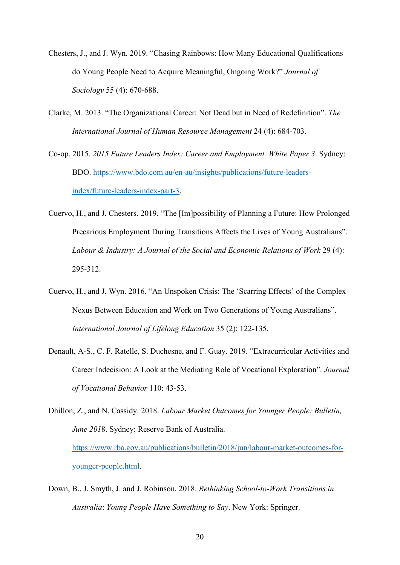- Chesters, J., and J. Wyn. 2019. "Chasing Rainbows: How Many Educational Qualifications do Young People Need to Acquire Meaningful, Ongoing Work?" *Journal of Sociology* 55 (4): 670-688.
- Clarke, M. 2013. "The Organizational Career: Not Dead but in Need of Redefinition". *The International Journal of Human Resource Management* 24 (4): 684-703.
- Co-op. 2015. *2015 Future Leaders Index: Career and Employment. White Paper 3*. Sydney: BDO. https://www.bdo.com.au/en-au/insights/publications/future-leadersindex/future-leaders-index-part-3.
- Cuervo, H., and J. Chesters. 2019. "The [Im]possibility of Planning a Future: How Prolonged Precarious Employment During Transitions Affects the Lives of Young Australians". *Labour & Industry: A Journal of the Social and Economic Relations of Work* 29 (4): 295-312.
- Cuervo, H., and J. Wyn. 2016. "An Unspoken Crisis: The 'Scarring Effects' of the Complex Nexus Between Education and Work on Two Generations of Young Australians". *International Journal of Lifelong Education* 35 (2): 122-135.
- Denault, A-S., C. F. Ratelle, S. Duchesne, and F. Guay. 2019. "Extracurricular Activities and Career Indecision: A Look at the Mediating Role of Vocational Exploration". *Journal of Vocational Behavior* 110: 43-53.
- Dhillon, Z., and N. Cassidy. 2018. *Labour Market Outcomes for Younger People: Bulletin, June 201*8. Sydney: Reserve Bank of Australia. https://www.rba.gov.au/publications/bulletin/2018/jun/labour-market-outcomes-foryounger-people.html.
- Down, B., J. Smyth, J. and J. Robinson. 2018. *Rethinking School-to-Work Transitions in Australia*: *Young People Have Something to Say*. New York: Springer.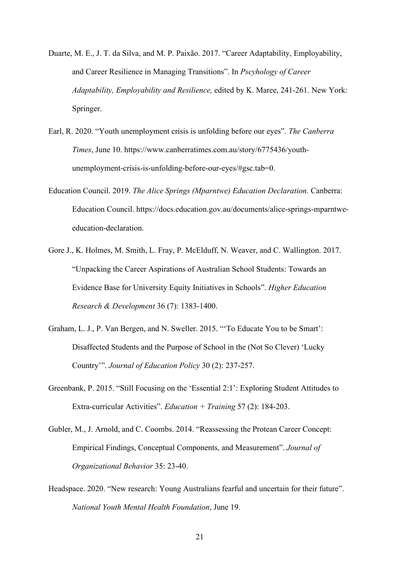- Duarte, M. E., J. T. da Silva, and M. P. Paixão. 2017. "Career Adaptability, Employability, and Career Resilience in Managing Transitions". In *Pscyhology of Career Adaptability, Employability and Resilience,* edited by K. Maree, 241-261. New York: Springer.
- Earl, R. 2020. "Youth unemployment crisis is unfolding before our eyes". *The Canberra Times*, June 10. https://www.canberratimes.com.au/story/6775436/youthunemployment-crisis-is-unfolding-before-our-eyes/#gsc.tab=0.
- Education Council. 2019. *The Alice Springs (Mparntwe) Education Declaration.* Canberra: Education Council. https://docs.education.gov.au/documents/alice-springs-mparntweeducation-declaration.
- Gore J., K. Holmes, M. Smith, L. Fray, P. McElduff, N. Weaver, and C. Wallington. 2017. "Unpacking the Career Aspirations of Australian School Students: Towards an Evidence Base for University Equity Initiatives in Schools". *Higher Education Research & Development* 36 (7): 1383-1400.
- Graham, L. J., P. Van Bergen, and N. Sweller. 2015. "'To Educate You to be Smart': Disaffected Students and the Purpose of School in the (Not So Clever) 'Lucky Country'". *Journal of Education Policy* 30 (2): 237-257.
- Greenbank, P. 2015. "Still Focusing on the 'Essential 2:1': Exploring Student Attitudes to Extra-curricular Activities". *Education + Training* 57 (2): 184-203.
- Gubler, M., J. Arnold, and C. Coombs. 2014. "Reassessing the Protean Career Concept: Empirical Findings, Conceptual Components, and Measurement". *Journal of Organizational Behavior* 35: 23-40.
- Headspace. 2020. "New research: Young Australians fearful and uncertain for their future". *National Youth Mental Health Foundation*, June 19.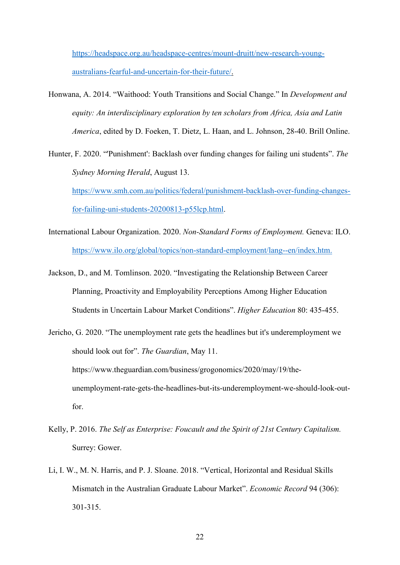https://headspace.org.au/headspace-centres/mount-druitt/new-research-youngaustralians-fearful-and-uncertain-for-their-future/.

- Honwana, A. 2014. "Waithood: Youth Transitions and Social Change." In *Development and equity: An interdisciplinary exploration by ten scholars from Africa, Asia and Latin America*, edited by D. Foeken, T. Dietz, L. Haan, and L. Johnson, 28-40. Brill Online.
- Hunter, F. 2020. "'Punishment': Backlash over funding changes for failing uni students". *The Sydney Morning Herald*, August 13. https://www.smh.com.au/politics/federal/punishment-backlash-over-funding-changesfor-failing-uni-students-20200813-p55lcp.html.
- International Labour Organization. 2020. *Non-Standard Forms of Employment.* Geneva: ILO. https://www.ilo.org/global/topics/non-standard-employment/lang--en/index.htm.
- Jackson, D., and M. Tomlinson. 2020. "Investigating the Relationship Between Career Planning, Proactivity and Employability Perceptions Among Higher Education Students in Uncertain Labour Market Conditions". *Higher Education* 80: 435-455.
- Jericho, G. 2020. "The unemployment rate gets the headlines but it's underemployment we should look out for". *The Guardian*, May 11. https://www.theguardian.com/business/grogonomics/2020/may/19/theunemployment-rate-gets-the-headlines-but-its-underemployment-we-should-look-outfor.
- Kelly, P. 2016. *The Self as Enterprise: Foucault and the Spirit of 21st Century Capitalism.* Surrey: Gower.
- Li, I. W., M. N. Harris, and P. J. Sloane. 2018. "Vertical, Horizontal and Residual Skills Mismatch in the Australian Graduate Labour Market". *Economic Record* 94 (306): 301-315.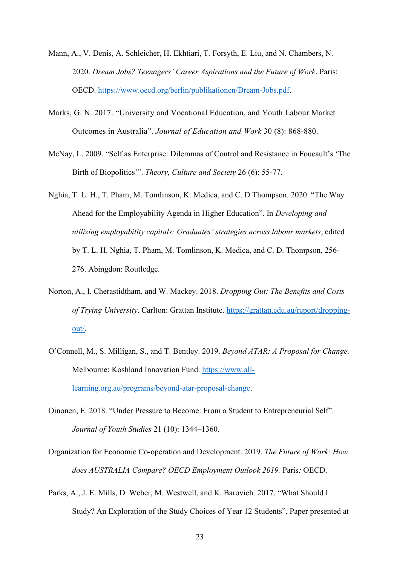- Mann, A., V. Denis, A. Schleicher, H. Ekhtiari, T. Forsyth, E. Liu, and N. Chambers, N. 2020. *Dream Jobs? Teenagers' Career Aspirations and the Future of Work*. Paris: OECD. https://www.oecd.org/berlin/publikationen/Dream-Jobs.pdf.
- Marks, G. N. 2017. "University and Vocational Education, and Youth Labour Market Outcomes in Australia". *Journal of Education and Work* 30 (8): 868-880.
- McNay, L. 2009. "Self as Enterprise: Dilemmas of Control and Resistance in Foucault's 'The Birth of Biopolitics'". *Theory, Culture and Society* 26 (6): 55-77.
- Nghia, T. L. H., T. Pham, M. Tomlinson, K. Medica, and C. D Thompson. 2020. "The Way Ahead for the Employability Agenda in Higher Education". In *Developing and utilizing employability capitals: Graduates' strategies across labour markets*, edited by T. L. H. Nghia, T. Pham, M. Tomlinson, K. Medica, and C. D. Thompson, 256- 276. Abingdon: Routledge.
- Norton, A., I. Cherastidtham, and W. Mackey. 2018. *Dropping Out: The Benefits and Costs of Trying University*. Carlton: Grattan Institute. https://grattan.edu.au/report/droppingout/.
- O'Connell, M., S. Milligan, S., and T. Bentley. 2019. *Beyond ATAR: A Proposal for Change.* Melbourne: Koshland Innovation Fund. https://www.alllearning.org.au/programs/beyond-atar-proposal-change.
- Oinonen, E. 2018. "Under Pressure to Become: From a Student to Entrepreneurial Self". *Journal of Youth Studies* 21 (10): 1344–1360.
- Organization for Economic Co-operation and Development. 2019. *The Future of Work: How does AUSTRALIA Compare? OECD Employment Outlook 2019.* Paris*:* OECD.
- Parks, A., J. E. Mills, D. Weber, M. Westwell, and K. Barovich. 2017. "What Should I Study? An Exploration of the Study Choices of Year 12 Students". Paper presented at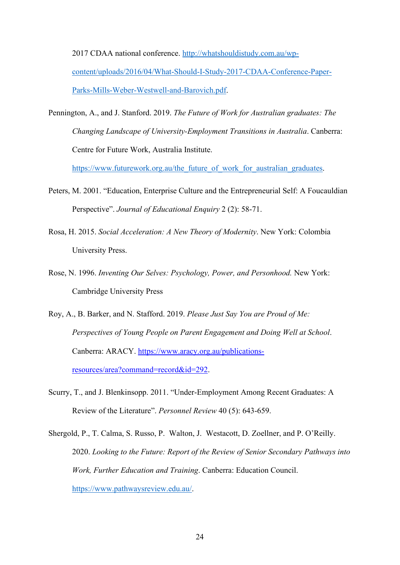2017 CDAA national conference. http://whatshouldistudy.com.au/wpcontent/uploads/2016/04/What-Should-I-Study-2017-CDAA-Conference-Paper-Parks-Mills-Weber-Westwell-and-Barovich.pdf.

Pennington, A., and J. Stanford. 2019. *The Future of Work for Australian graduates: The Changing Landscape of University-Employment Transitions in Australia*. Canberra: Centre for Future Work, Australia Institute.

https://www.futurework.org.au/the\_future\_of\_work\_for\_australian\_graduates.

- Peters, M. 2001. "Education, Enterprise Culture and the Entrepreneurial Self: A Foucauldian Perspective". *Journal of Educational Enquiry* 2 (2): 58-71.
- Rosa, H. 2015. *Social Acceleration: A New Theory of Modernity*. New York: Colombia University Press.
- Rose, N. 1996. *Inventing Our Selves: Psychology, Power, and Personhood.* New York: Cambridge University Press
- Roy, A., B. Barker, and N. Stafford. 2019. *Please Just Say You are Proud of Me: Perspectives of Young People on Parent Engagement and Doing Well at School*. Canberra: ARACY. https://www.aracy.org.au/publicationsresources/area?command=record&id=292.
- Scurry, T., and J. Blenkinsopp. 2011. "Under-Employment Among Recent Graduates: A Review of the Literature". *Personnel Review* 40 (5): 643-659.

Shergold, P., T. Calma, S. Russo, P. Walton, J. Westacott, D. Zoellner, and P. O'Reilly. 2020. *Looking to the Future: Report of the Review of Senior Secondary Pathways into Work, Further Education and Training*. Canberra: Education Council. https://www.pathwaysreview.edu.au/.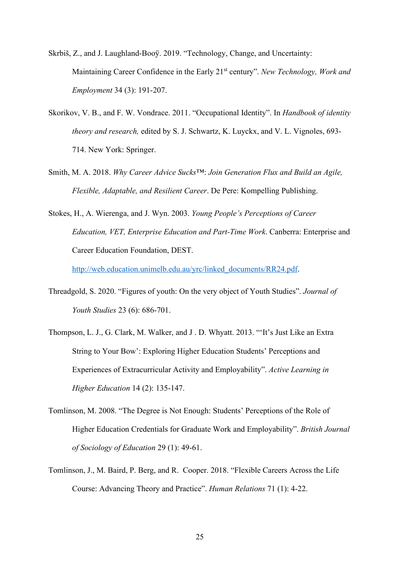- Skrbiš, Z., and J. Laughland-Booÿ. 2019. "Technology, Change, and Uncertainty: Maintaining Career Confidence in the Early 21st century". *New Technology, Work and Employment* 34 (3): 191-207.
- Skorikov, V. B., and F. W. Vondrace. 2011. "Occupational Identity". In *Handbook of identity theory and research,* edited by S. J. Schwartz, K. Luyckx, and V. L. Vignoles, 693- 714. New York: Springer.
- Smith, M. A. 2018. *Why Career Advice Sucks*™: *Join Generation Flux and Build an Agile, Flexible, Adaptable, and Resilient Career*. De Pere: Kompelling Publishing.
- Stokes, H., A. Wierenga, and J. Wyn. 2003. *Young People's Perceptions of Career Education, VET, Enterprise Education and Part-Time Work*. Canberra: Enterprise and Career Education Foundation, DEST.

http://web.education.unimelb.edu.au/yrc/linked\_documents/RR24.pdf.

- Threadgold, S. 2020. "Figures of youth: On the very object of Youth Studies". *Journal of Youth Studies* 23 (6): 686-701.
- Thompson, L. J., G. Clark, M. Walker, and J . D. Whyatt. 2013. "'It's Just Like an Extra String to Your Bow': Exploring Higher Education Students' Perceptions and Experiences of Extracurricular Activity and Employability". *Active Learning in Higher Education* 14 (2): 135-147.
- Tomlinson, M. 2008. "The Degree is Not Enough: Students' Perceptions of the Role of Higher Education Credentials for Graduate Work and Employability". *British Journal of Sociology of Education* 29 (1): 49-61.
- Tomlinson, J., M. Baird, P. Berg, and R. Cooper. 2018. "Flexible Careers Across the Life Course: Advancing Theory and Practice". *Human Relations* 71 (1): 4-22.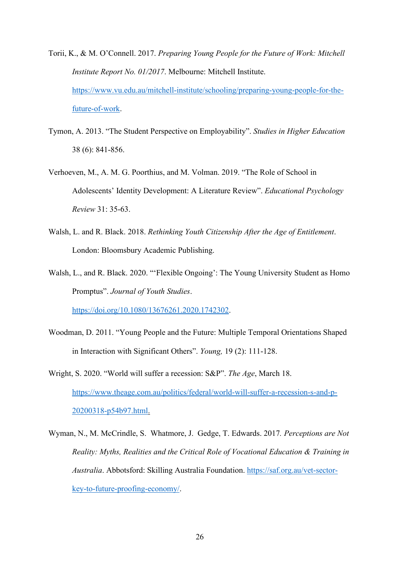Torii, K., & M. O'Connell. 2017. *Preparing Young People for the Future of Work: Mitchell Institute Report No. 01/2017*. Melbourne: Mitchell Institute. https://www.vu.edu.au/mitchell-institute/schooling/preparing-young-people-for-thefuture-of-work.

- Tymon, A. 2013. "The Student Perspective on Employability". *Studies in Higher Education*  38 (6): 841-856.
- Verhoeven, M., A. M. G. Poorthius, and M. Volman. 2019. "The Role of School in Adolescents' Identity Development: A Literature Review". *Educational Psychology Review* 31: 35-63.
- Walsh, L. and R. Black. 2018. *Rethinking Youth Citizenship After the Age of Entitlement*. London: Bloomsbury Academic Publishing.

Walsh, L., and R. Black. 2020. "'Flexible Ongoing': The Young University Student as Homo Promptus". *Journal of Youth Studies*.

https://doi.org/10.1080/13676261.2020.1742302.

Woodman, D. 2011. "Young People and the Future: Multiple Temporal Orientations Shaped in Interaction with Significant Others". *Young,* 19 (2): 111-128.

Wright, S. 2020. "World will suffer a recession: S&P". *The Age*, March 18. https://www.theage.com.au/politics/federal/world-will-suffer-a-recession-s-and-p-20200318-p54b97.html.

Wyman, N., M. McCrindle, S. Whatmore, J. Gedge, T. Edwards. 2017*. Perceptions are Not Reality: Myths, Realities and the Critical Role of Vocational Education & Training in Australia*. Abbotsford: Skilling Australia Foundation. https://saf.org.au/vet-sectorkey-to-future-proofing-economy/.